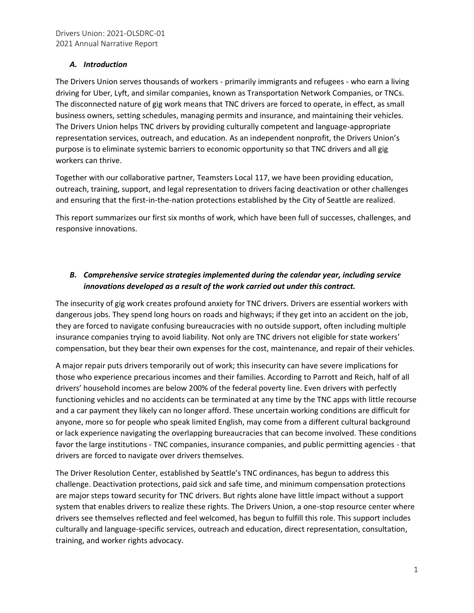#### *A. Introduction*

The Drivers Union serves thousands of workers - primarily immigrants and refugees - who earn a living driving for Uber, Lyft, and similar companies, known as Transportation Network Companies, or TNCs. The disconnected nature of gig work means that TNC drivers are forced to operate, in effect, as small business owners, setting schedules, managing permits and insurance, and maintaining their vehicles. The Drivers Union helps TNC drivers by providing culturally competent and language-appropriate representation services, outreach, and education. As an independent nonprofit, the Drivers Union's purpose is to eliminate systemic barriers to economic opportunity so that TNC drivers and all gig workers can thrive.

Together with our collaborative partner, Teamsters Local 117, we have been providing education, outreach, training, support, and legal representation to drivers facing deactivation or other challenges and ensuring that the first-in-the-nation protections established by the City of Seattle are realized.

This report summarizes our first six months of work, which have been full of successes, challenges, and responsive innovations.

# *B. Comprehensive service strategies implemented during the calendar year, including service innovations developed as a result of the work carried out under this contract.*

The insecurity of gig work creates profound anxiety for TNC drivers. Drivers are essential workers with dangerous jobs. They spend long hours on roads and highways; if they get into an accident on the job, they are forced to navigate confusing bureaucracies with no outside support, often including multiple insurance companies trying to avoid liability. Not only are TNC drivers not eligible for state workers' compensation, but they bear their own expenses for the cost, maintenance, and repair of their vehicles.

A major repair puts drivers temporarily out of work; this insecurity can have severe implications for those who experience precarious incomes and their families. According to Parrott and Reich, half of all drivers' household incomes are below 200% of the federal poverty line. Even drivers with perfectly functioning vehicles and no accidents can be terminated at any time by the TNC apps with little recourse and a car payment they likely can no longer afford. These uncertain working conditions are difficult for anyone, more so for people who speak limited English, may come from a different cultural background or lack experience navigating the overlapping bureaucracies that can become involved. These conditions favor the large institutions - TNC companies, insurance companies, and public permitting agencies - that drivers are forced to navigate over drivers themselves.

The Driver Resolution Center, established by Seattle's TNC ordinances, has begun to address this challenge. Deactivation protections, paid sick and safe time, and minimum compensation protections are major steps toward security for TNC drivers. But rights alone have little impact without a support system that enables drivers to realize these rights. The Drivers Union, a one-stop resource center where drivers see themselves reflected and feel welcomed, has begun to fulfill this role. This support includes culturally and language-specific services, outreach and education, direct representation, consultation, training, and worker rights advocacy.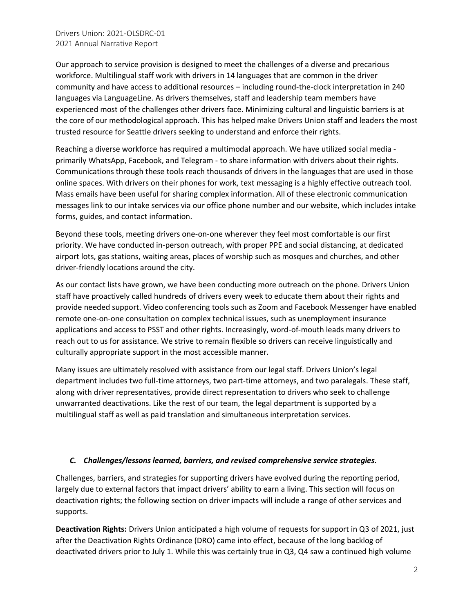Our approach to service provision is designed to meet the challenges of a diverse and precarious workforce. Multilingual staff work with drivers in 14 languages that are common in the driver community and have access to additional resources – including round-the-clock interpretation in 240 languages via LanguageLine. As drivers themselves, staff and leadership team members have experienced most of the challenges other drivers face. Minimizing cultural and linguistic barriers is at the core of our methodological approach. This has helped make Drivers Union staff and leaders the most trusted resource for Seattle drivers seeking to understand and enforce their rights.

Reaching a diverse workforce has required a multimodal approach. We have utilized social media primarily WhatsApp, Facebook, and Telegram - to share information with drivers about their rights. Communications through these tools reach thousands of drivers in the languages that are used in those online spaces. With drivers on their phones for work, text messaging is a highly effective outreach tool. Mass emails have been useful for sharing complex information. All of these electronic communication messages link to our intake services via our office phone number and our website, which includes intake forms, guides, and contact information.

Beyond these tools, meeting drivers one-on-one wherever they feel most comfortable is our first priority. We have conducted in-person outreach, with proper PPE and social distancing, at dedicated airport lots, gas stations, waiting areas, places of worship such as mosques and churches, and other driver-friendly locations around the city.

As our contact lists have grown, we have been conducting more outreach on the phone. Drivers Union staff have proactively called hundreds of drivers every week to educate them about their rights and provide needed support. Video conferencing tools such as Zoom and Facebook Messenger have enabled remote one-on-one consultation on complex technical issues, such as unemployment insurance applications and access to PSST and other rights. Increasingly, word-of-mouth leads many drivers to reach out to us for assistance. We strive to remain flexible so drivers can receive linguistically and culturally appropriate support in the most accessible manner.

Many issues are ultimately resolved with assistance from our legal staff. Drivers Union's legal department includes two full-time attorneys, two part-time attorneys, and two paralegals. These staff, along with driver representatives, provide direct representation to drivers who seek to challenge unwarranted deactivations. Like the rest of our team, the legal department is supported by a multilingual staff as well as paid translation and simultaneous interpretation services.

### *C. Challenges/lessons learned, barriers, and revised comprehensive service strategies.*

Challenges, barriers, and strategies for supporting drivers have evolved during the reporting period, largely due to external factors that impact drivers' ability to earn a living. This section will focus on deactivation rights; the following section on driver impacts will include a range of other services and supports.

**Deactivation Rights:** Drivers Union anticipated a high volume of requests for support in Q3 of 2021, just after the Deactivation Rights Ordinance (DRO) came into effect, because of the long backlog of deactivated drivers prior to July 1. While this was certainly true in Q3, Q4 saw a continued high volume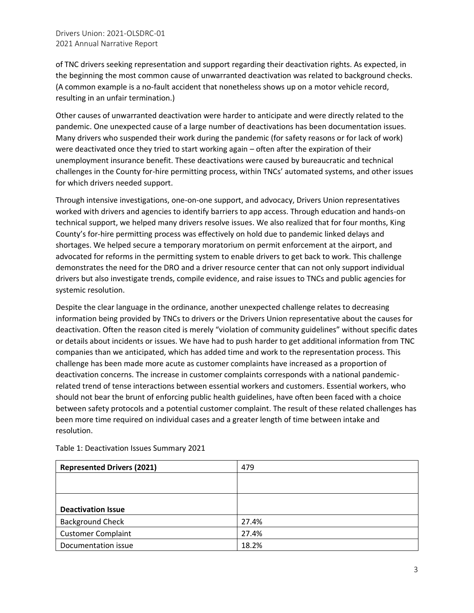of TNC drivers seeking representation and support regarding their deactivation rights. As expected, in the beginning the most common cause of unwarranted deactivation was related to background checks. (A common example is a no-fault accident that nonetheless shows up on a motor vehicle record, resulting in an unfair termination.)

Other causes of unwarranted deactivation were harder to anticipate and were directly related to the pandemic. One unexpected cause of a large number of deactivations has been documentation issues. Many drivers who suspended their work during the pandemic (for safety reasons or for lack of work) were deactivated once they tried to start working again – often after the expiration of their unemployment insurance benefit. These deactivations were caused by bureaucratic and technical challenges in the County for-hire permitting process, within TNCs' automated systems, and other issues for which drivers needed support.

Through intensive investigations, one-on-one support, and advocacy, Drivers Union representatives worked with drivers and agencies to identify barriers to app access. Through education and hands-on technical support, we helped many drivers resolve issues. We also realized that for four months, King County's for-hire permitting process was effectively on hold due to pandemic linked delays and shortages. We helped secure a temporary moratorium on permit enforcement at the airport, and advocated for reforms in the permitting system to enable drivers to get back to work. This challenge demonstrates the need for the DRO and a driver resource center that can not only support individual drivers but also investigate trends, compile evidence, and raise issues to TNCs and public agencies for systemic resolution.

Despite the clear language in the ordinance, another unexpected challenge relates to decreasing information being provided by TNCs to drivers or the Drivers Union representative about the causes for deactivation. Often the reason cited is merely "violation of community guidelines" without specific dates or details about incidents or issues. We have had to push harder to get additional information from TNC companies than we anticipated, which has added time and work to the representation process. This challenge has been made more acute as customer complaints have increased as a proportion of deactivation concerns. The increase in customer complaints corresponds with a national pandemicrelated trend of tense interactions between essential workers and customers. Essential workers, who should not bear the brunt of enforcing public health guidelines, have often been faced with a choice between safety protocols and a potential customer complaint. The result of these related challenges has been more time required on individual cases and a greater length of time between intake and resolution.

| <b>Represented Drivers (2021)</b> | 479   |
|-----------------------------------|-------|
|                                   |       |
|                                   |       |
| <b>Deactivation Issue</b>         |       |
| <b>Background Check</b>           | 27.4% |
| <b>Customer Complaint</b>         | 27.4% |
| Documentation issue               | 18.2% |

Table 1: Deactivation Issues Summary 2021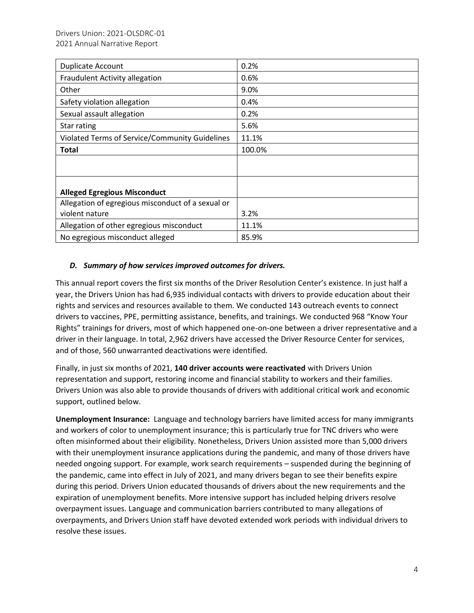| Duplicate Account                                 | 0.2%   |
|---------------------------------------------------|--------|
| Fraudulent Activity allegation                    | 0.6%   |
| Other                                             | 9.0%   |
| Safety violation allegation                       | 0.4%   |
| Sexual assault allegation                         | 0.2%   |
| Star rating                                       | 5.6%   |
| Violated Terms of Service/Community Guidelines    | 11.1%  |
| <b>Total</b>                                      | 100.0% |
|                                                   |        |
|                                                   |        |
| <b>Alleged Egregious Misconduct</b>               |        |
| Allegation of egregious misconduct of a sexual or |        |
| violent nature                                    | 3.2%   |
| Allegation of other egregious misconduct          | 11.1%  |
| No egregious misconduct alleged                   | 85.9%  |

### *D. Summary of how services improved outcomes for drivers.*

This annual report covers the first six months of the Driver Resolution Center's existence. In just half a year, the Drivers Union has had 6,935 individual contacts with drivers to provide education about their rights and services and resources available to them. We conducted 143 outreach events to connect drivers to vaccines, PPE, permitting assistance, benefits, and trainings. We conducted 968 "Know Your Rights" trainings for drivers, most of which happened one-on-one between a driver representative and a driver in their language. In total, 2,962 drivers have accessed the Driver Resource Center for services, and of those, 560 unwarranted deactivations were identified.

Finally, in just six months of 2021, **140 driver accounts were reactivated** with Drivers Union representation and support, restoring income and financial stability to workers and their families. Drivers Union was also able to provide thousands of drivers with additional critical work and economic support, outlined below.

**Unemployment Insurance:** Language and technology barriers have limited access for many immigrants and workers of color to unemployment insurance; this is particularly true for TNC drivers who were often misinformed about their eligibility. Nonetheless, Drivers Union assisted more than 5,000 drivers with their unemployment insurance applications during the pandemic, and many of those drivers have needed ongoing support. For example, work search requirements – suspended during the beginning of the pandemic, came into effect in July of 2021, and many drivers began to see their benefits expire during this period. Drivers Union educated thousands of drivers about the new requirements and the expiration of unemployment benefits. More intensive support has included helping drivers resolve overpayment issues. Language and communication barriers contributed to many allegations of overpayments, and Drivers Union staff have devoted extended work periods with individual drivers to resolve these issues.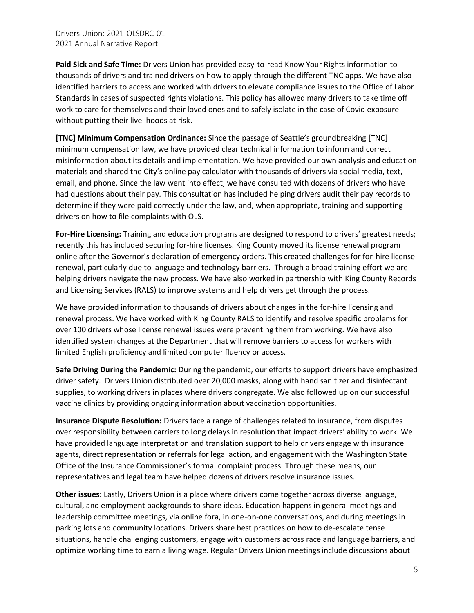**Paid Sick and Safe Time:** Drivers Union has provided easy-to-read Know Your Rights information to thousands of drivers and trained drivers on how to apply through the different TNC apps. We have also identified barriers to access and worked with drivers to elevate compliance issues to the Office of Labor Standards in cases of suspected rights violations. This policy has allowed many drivers to take time off work to care for themselves and their loved ones and to safely isolate in the case of Covid exposure without putting their livelihoods at risk.

**[TNC] Minimum Compensation Ordinance:** Since the passage of Seattle's groundbreaking [TNC] minimum compensation law, we have provided clear technical information to inform and correct misinformation about its details and implementation. We have provided our own analysis and education materials and shared the City's online pay calculator with thousands of drivers via social media, text, email, and phone. Since the law went into effect, we have consulted with dozens of drivers who have had questions about their pay. This consultation has included helping drivers audit their pay records to determine if they were paid correctly under the law, and, when appropriate, training and supporting drivers on how to file complaints with OLS.

**For-Hire Licensing:** Training and education programs are designed to respond to drivers' greatest needs; recently this has included securing for-hire licenses. King County moved its license renewal program online after the Governor's declaration of emergency orders. This created challenges for for-hire license renewal, particularly due to language and technology barriers. Through a broad training effort we are helping drivers navigate the new process. We have also worked in partnership with King County Records and Licensing Services (RALS) to improve systems and help drivers get through the process.

We have provided information to thousands of drivers about changes in the for-hire licensing and renewal process. We have worked with King County RALS to identify and resolve specific problems for over 100 drivers whose license renewal issues were preventing them from working. We have also identified system changes at the Department that will remove barriers to access for workers with limited English proficiency and limited computer fluency or access.

**Safe Driving During the Pandemic:** During the pandemic, our efforts to support drivers have emphasized driver safety. Drivers Union distributed over 20,000 masks, along with hand sanitizer and disinfectant supplies, to working drivers in places where drivers congregate. We also followed up on our successful vaccine clinics by providing ongoing information about vaccination opportunities.

**Insurance Dispute Resolution:** Drivers face a range of challenges related to insurance, from disputes over responsibility between carriers to long delays in resolution that impact drivers' ability to work. We have provided language interpretation and translation support to help drivers engage with insurance agents, direct representation or referrals for legal action, and engagement with the Washington State Office of the Insurance Commissioner's formal complaint process. Through these means, our representatives and legal team have helped dozens of drivers resolve insurance issues.

**Other issues:** Lastly, Drivers Union is a place where drivers come together across diverse language, cultural, and employment backgrounds to share ideas. Education happens in general meetings and leadership committee meetings, via online fora, in one-on-one conversations, and during meetings in parking lots and community locations. Drivers share best practices on how to de-escalate tense situations, handle challenging customers, engage with customers across race and language barriers, and optimize working time to earn a living wage. Regular Drivers Union meetings include discussions about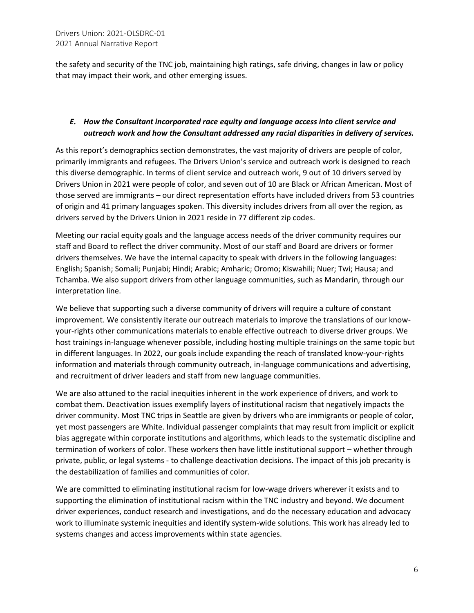the safety and security of the TNC job, maintaining high ratings, safe driving, changes in law or policy that may impact their work, and other emerging issues.

# *E. How the Consultant incorporated race equity and language access into client service and outreach work and how the Consultant addressed any racial disparities in delivery of services.*

As this report's demographics section demonstrates, the vast majority of drivers are people of color, primarily immigrants and refugees. The Drivers Union's service and outreach work is designed to reach this diverse demographic. In terms of client service and outreach work, 9 out of 10 drivers served by Drivers Union in 2021 were people of color, and seven out of 10 are Black or African American. Most of those served are immigrants – our direct representation efforts have included drivers from 53 countries of origin and 41 primary languages spoken. This diversity includes drivers from all over the region, as drivers served by the Drivers Union in 2021 reside in 77 different zip codes.

Meeting our racial equity goals and the language access needs of the driver community requires our staff and Board to reflect the driver community. Most of our staff and Board are drivers or former drivers themselves. We have the internal capacity to speak with drivers in the following languages: English; Spanish; Somali; Punjabi; Hindi; Arabic; Amharic; Oromo; Kiswahili; Nuer; Twi; Hausa; and Tchamba. We also support drivers from other language communities, such as Mandarin, through our interpretation line.

We believe that supporting such a diverse community of drivers will require a culture of constant improvement. We consistently iterate our outreach materials to improve the translations of our knowyour-rights other communications materials to enable effective outreach to diverse driver groups. We host trainings in-language whenever possible, including hosting multiple trainings on the same topic but in different languages. In 2022, our goals include expanding the reach of translated know-your-rights information and materials through community outreach, in-language communications and advertising, and recruitment of driver leaders and staff from new language communities.

We are also attuned to the racial inequities inherent in the work experience of drivers, and work to combat them. Deactivation issues exemplify layers of institutional racism that negatively impacts the driver community. Most TNC trips in Seattle are given by drivers who are immigrants or people of color, yet most passengers are White. Individual passenger complaints that may result from implicit or explicit bias aggregate within corporate institutions and algorithms, which leads to the systematic discipline and termination of workers of color. These workers then have little institutional support – whether through private, public, or legal systems - to challenge deactivation decisions. The impact of this job precarity is the destabilization of families and communities of color.

We are committed to eliminating institutional racism for low-wage drivers wherever it exists and to supporting the elimination of institutional racism within the TNC industry and beyond. We document driver experiences, conduct research and investigations, and do the necessary education and advocacy work to illuminate systemic inequities and identify system-wide solutions. This work has already led to systems changes and access improvements within state agencies.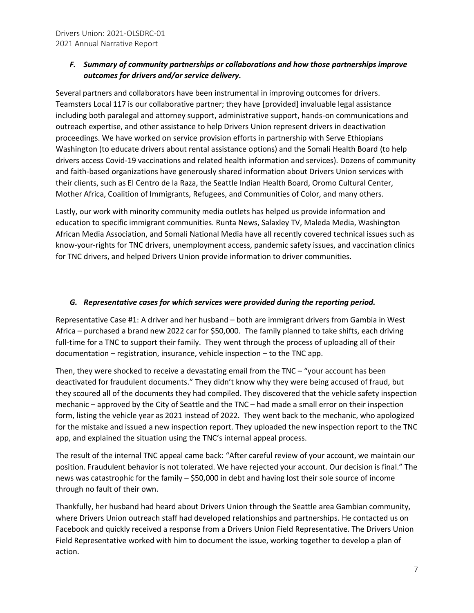### *F. Summary of community partnerships or collaborations and how those partnerships improve outcomes for drivers and/or service delivery.*

Several partners and collaborators have been instrumental in improving outcomes for drivers. Teamsters Local 117 is our collaborative partner; they have [provided] invaluable legal assistance including both paralegal and attorney support, administrative support, hands-on communications and outreach expertise, and other assistance to help Drivers Union represent drivers in deactivation proceedings. We have worked on service provision efforts in partnership with Serve Ethiopians Washington (to educate drivers about rental assistance options) and the Somali Health Board (to help drivers access Covid-19 vaccinations and related health information and services). Dozens of community and faith-based organizations have generously shared information about Drivers Union services with their clients, such as El Centro de la Raza, the Seattle Indian Health Board, Oromo Cultural Center, Mother Africa, Coalition of Immigrants, Refugees, and Communities of Color, and many others.

Lastly, our work with minority community media outlets has helped us provide information and education to specific immigrant communities. Runta News, Salaxley TV, Maleda Media, Washington African Media Association, and Somali National Media have all recently covered technical issues such as know-your-rights for TNC drivers, unemployment access, pandemic safety issues, and vaccination clinics for TNC drivers, and helped Drivers Union provide information to driver communities.

#### *G. Representative cases for which services were provided during the reporting period.*

Representative Case #1: A driver and her husband – both are immigrant drivers from Gambia in West Africa – purchased a brand new 2022 car for \$50,000. The family planned to take shifts, each driving full-time for a TNC to support their family. They went through the process of uploading all of their documentation – registration, insurance, vehicle inspection – to the TNC app.

Then, they were shocked to receive a devastating email from the TNC – "your account has been deactivated for fraudulent documents." They didn't know why they were being accused of fraud, but they scoured all of the documents they had compiled. They discovered that the vehicle safety inspection mechanic – approved by the City of Seattle and the TNC – had made a small error on their inspection form, listing the vehicle year as 2021 instead of 2022. They went back to the mechanic, who apologized for the mistake and issued a new inspection report. They uploaded the new inspection report to the TNC app, and explained the situation using the TNC's internal appeal process.

The result of the internal TNC appeal came back: "After careful review of your account, we maintain our position. Fraudulent behavior is not tolerated. We have rejected your account. Our decision is final." The news was catastrophic for the family – \$50,000 in debt and having lost their sole source of income through no fault of their own.

Thankfully, her husband had heard about Drivers Union through the Seattle area Gambian community, where Drivers Union outreach staff had developed relationships and partnerships. He contacted us on Facebook and quickly received a response from a Drivers Union Field Representative. The Drivers Union Field Representative worked with him to document the issue, working together to develop a plan of action.